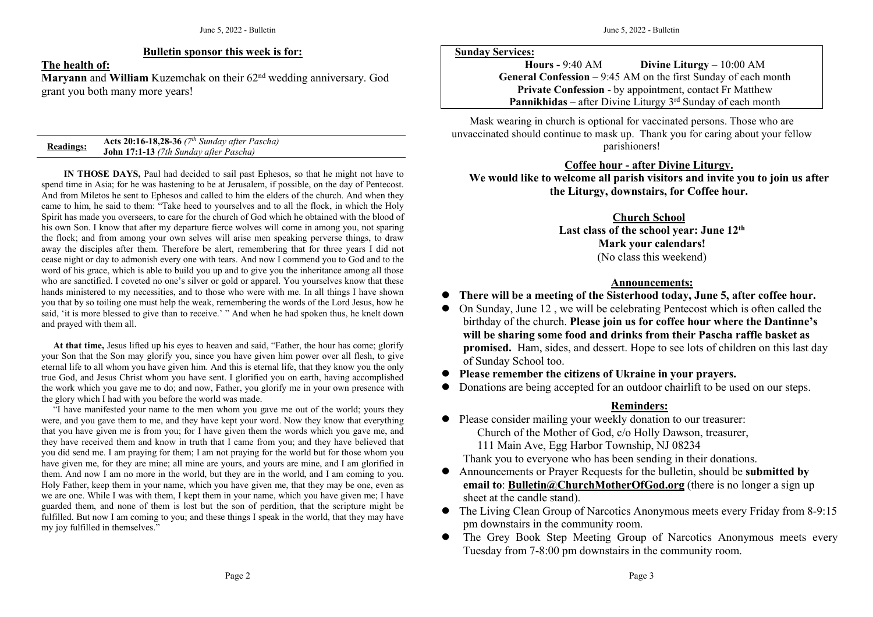### **Bulletin sponsor this week is for:**

**The health of:**

**Maryann** and **William** Kuzemchak on their 62<sup>nd</sup> wedding anniversary. God grant you both many more years!

| <b>Readings:</b> | Acts 20:16-18,28-36 $(7th$ Sunday after Pascha) |
|------------------|-------------------------------------------------|
|                  | <b>John 17:1-13</b> (7th Sunday after Pascha)   |

**IN THOSE DAYS,** Paul had decided to sail past Ephesos, so that he might not have to spend time in Asia; for he was hastening to be at Jerusalem, if possible, on the day of Pentecost. And from Miletos he sent to Ephesos and called to him the elders of the church. And when they came to him, he said to them: "Take heed to yourselves and to all the flock, in which the Holy Spirit has made you overseers, to care for the church of God which he obtained with the blood of his own Son. I know that after my departure fierce wolves will come in among you, not sparing the flock; and from among your own selves will arise men speaking perverse things, to draw away the disciples after them. Therefore be alert, remembering that for three years I did not cease night or day to admonish every one with tears. And now I commend you to God and to the word of his grace, which is able to build you up and to give you the inheritance among all those who are sanctified. I coveted no one's silver or gold or apparel. You yourselves know that these hands ministered to my necessities, and to those who were with me. In all things I have shown you that by so toiling one must help the weak, remembering the words ofthe Lord Jesus, how he said, 'it is more blessed to give than to receive.' " And when he had spoken thus, he knelt down and prayed with them all.

At that time, Jesus lifted up his eyes to heaven and said, "Father, the hour has come; glorify your Son that the Son may glorify you, since you have given him power over all flesh, to give eternal life to all whom you have given him. And this is eternal life, that they know you the only true God, and Jesus Christ whom you have sent. I glorified you on earth, having accomplished the work which you gave me to do; and now, Father, you glorify me in your own presence with the glory which I had with you before the world was made.

"I have manifested your name to the men whom you gave me out of the world; yours they were, and you gave them to me, and they have keptyour word. Now they know that everything that you have given me isfrom you; for I havegiven them the words which you gave me, and they have received them and know in truth that I came from you; and they have believed that you did send me. I am praying for them; I am not praying for the world but for those whom you have given me, for they are mine; all mine are yours, and yours are mine, and I am glorified in them. And now I am no more in theworld, but they are in the world, and I am coming to you. Holy Father, keep them in your name, which you have given me, that they may be one, even as we are one. While I was with them, I kept them in your name, which you have given me; I have guarded them, and none of them is lost but theson of perdition, that the scripture might be fulfilled. But now I am coming to you; and these things I speak in the world, that they may have my joy fulfilled in themselves."

#### **Sunday Services:**

**Hours -** 9:40 AM **Divine Liturgy** – 10:00 AM **General Confession** – 9:45 AM on the first Sunday of each month **Private Confession** - by appointment, contact Fr Matthew **Pannikhidas** – after Divine Liturgy 3<sup>rd</sup> Sunday of each month

Mask wearing in church is optional for vaccinated persons. Those who are unvaccinated should continue to mask up. Thank you forcaring about your fellow parishioners!

### **Coffee hour - after Divine Liturgy.**

**We would like to welcome all parish visitors and invite you tojoin us after the Liturgy, downstairs, for Coffee hour.**

# **Church School**

Last class of the school year: June  $12<sup>th</sup>$ **th Mark your calendars!** (No class this weekend)

### **Announcements:**

- **There will be a meeting of the Sisterhood today, June 5, after coffee hour.**
- On Sunday, June 12 , we will be celebrating Pentecost which is often called the birthday of the church. **Please join us for coffee hour where the Dantinne's will be sharing some food and drinks from their Pascha raffle basket as promised.** Ham, sides, and dessert. Hope to see lots of children on this last day of Sunday School too.
- **Please remember the citizens ofUkraine in your prayers.**
- Donations are being accepted for an outdoor chairlift to be used on our steps.

## **Reminders:**

• Please consider mailing your weekly donation to our treasurer: Church of the Mother of God, c/o Holly Dawson, treasurer, 111 Main Ave, Egg Harbor Township, NJ 08234

Thank you to everyone who has been sending in their donations.

- Announcements orPrayer Requests for the bulletin, should be **submitted by email to**: **[Bulletin@ChurchMotherOfGod.org](mailto:Bulletin@ChurchMotherOfGod.org)** (there is no longer a sign up sheet at the candle stand).
- The Living Clean Group of Narcotics Anonymous meets every Friday from 8-9:15 pm downstairs in the community room.
- The Grey Book Step Meeting Group of Narcotics Anonymous meets every Tuesday from 7-8:00 pm downstairs in the community room.